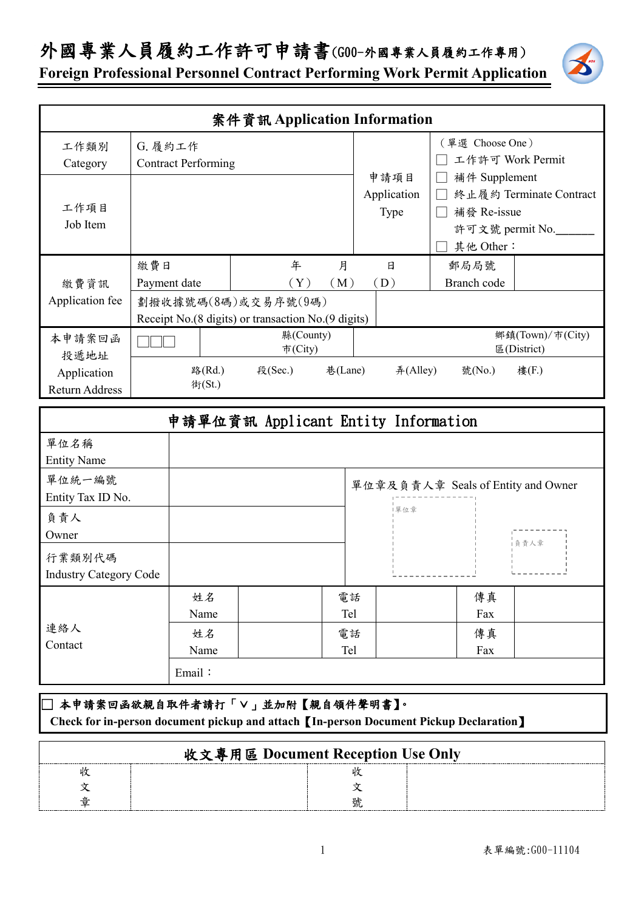外國專業人員履約工作許可申請書(G00-外國專業人員履約工作專用)



**Foreign Professional Personnel Contract Performing Work Permit Application**

|                       |                            | 案件資訊 Application Information                         |         |             |                  |                         |
|-----------------------|----------------------------|------------------------------------------------------|---------|-------------|------------------|-------------------------|
| 工作類別                  | G. 履約工作                    |                                                      |         |             | (單選 Choose One)  |                         |
| Category              | <b>Contract Performing</b> |                                                      |         |             | 工作許可 Work Permit |                         |
|                       |                            |                                                      |         | 申請項目        | 補件 Supplement    |                         |
|                       |                            |                                                      |         | Application |                  | 終止履約 Terminate Contract |
| 工作項目                  |                            |                                                      |         | <b>Type</b> | 補發 Re-issue      |                         |
| Job Item              |                            |                                                      |         |             | 許可文號 permit No.  |                         |
|                       |                            |                                                      |         |             | 其他 Other:        |                         |
|                       | 繳費日                        | 年                                                    | 月       | 日           | 郵局局號             |                         |
| 繳費資訊                  | Payment date               | $(\,\mathrm{Y}\,)$                                   | (M)     | (D)         | Branch code      |                         |
| Application fee       |                            | 劃撥收據號碼(8碼)或交易序號(9碼)                                  |         |             |                  |                         |
|                       |                            | Receipt No. (8 digits) or transaction No. (9 digits) |         |             |                  |                         |
| 本申請案回函                |                            | 縣(County)                                            |         |             |                  | 鄉鎮(Town)/市(City)        |
| 投遞地址                  |                            | 市 $(City)$                                           |         |             |                  | 區(District)             |
| Application           | 路(Rd.)                     | 段(Sec.)                                              | 巷(Lane) | #(Alley)    | 號(No.)           | 樓(F.)                   |
| <b>Return Address</b> | 街(St.)                     |                                                      |         |             |                  |                         |

|                                         | 申請單位資訊 Applicant Entity Information |           |                                    |           |      |
|-----------------------------------------|-------------------------------------|-----------|------------------------------------|-----------|------|
| 單位名稱<br><b>Entity Name</b>              |                                     |           |                                    |           |      |
| 單位統一編號<br>Entity Tax ID No.             |                                     |           | 單位章及負責人章 Seals of Entity and Owner |           |      |
| 負責人<br>Owner                            |                                     |           | 1單位章                               |           | 貞責人章 |
| 行業類別代碼<br><b>Industry Category Code</b> |                                     |           |                                    |           |      |
|                                         | 姓名                                  | 電話        |                                    | 傳真        |      |
| 連絡人                                     | Name                                | Tel       |                                    | Fax       |      |
| Contact                                 | 姓名<br>Name                          | 電話<br>Tel |                                    | 傳真<br>Fax |      |
|                                         | Email:                              |           |                                    |           |      |

#### □ 本申請案回函欲親自取件者請打「∨」並加附【親自領件聲明書】。

 **Check for in-person document pickup and attach**【**In-person Document Pickup Declaration**】

| Cheen for in person abcument pickup and attach Tin person Document Fickup Deciaration |  |
|---------------------------------------------------------------------------------------|--|
| 收文專用區 Document Reception Use Only                                                     |  |
|                                                                                       |  |
|                                                                                       |  |
|                                                                                       |  |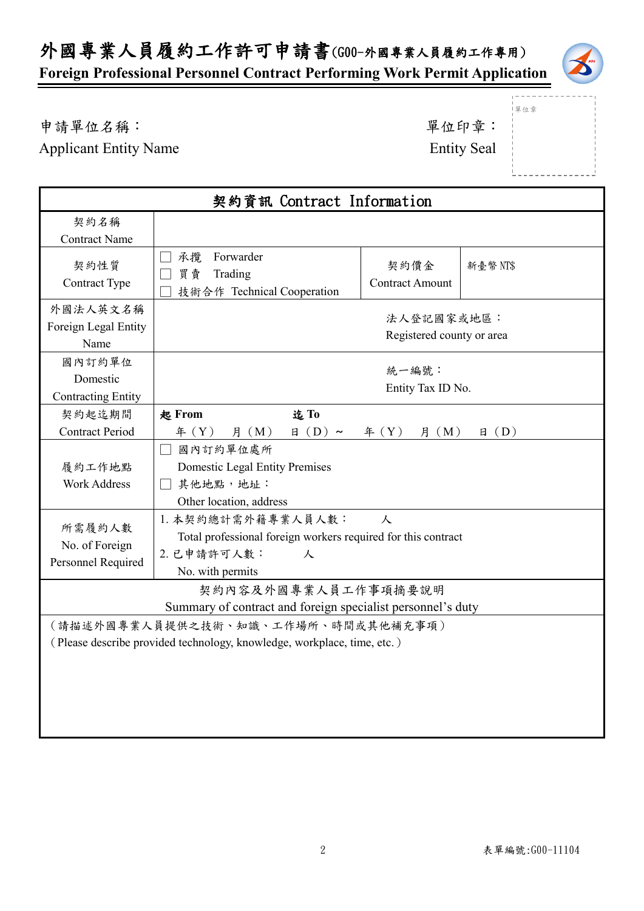## 外國專業人員履約工作許可申請書(G00-外國專業人員履約工作專用)

### **Foreign Professional Personnel Contract Performing Work Permit Application**

#### 申請單位名稱: 李 李 李 李 李 李 李 李 李 李 望位印章:

Applicant Entity Name **Entity** Seal

單位章

|                                                 | 契約資訊 Contract Information                                                                                                   |                                         |                |
|-------------------------------------------------|-----------------------------------------------------------------------------------------------------------------------------|-----------------------------------------|----------------|
| 契約名稱                                            |                                                                                                                             |                                         |                |
| <b>Contract Name</b>                            |                                                                                                                             |                                         |                |
| 契約性質<br>Contract Type                           | Forwarder<br>承攬<br>買賣<br>Trading<br>技術合作 Technical Cooperation                                                              | 契約價金<br><b>Contract Amount</b>          | 新臺幣 NT\$       |
| 外國法人英文名稱<br>Foreign Legal Entity<br>Name        |                                                                                                                             | 法人登記國家或地區:<br>Registered county or area |                |
| 國內訂約單位<br>Domestic<br><b>Contracting Entity</b> |                                                                                                                             | 統一編號:<br>Entity Tax ID No.              |                |
| 契約起迄期間                                          | 起 From<br>迄To                                                                                                               |                                         |                |
| <b>Contract Period</b>                          | # (Y)<br>月 (M)<br>$B(D) \sim$                                                                                               | # (Y)<br>月 $(M)$                        | $\boxplus$ (D) |
| 履約工作地點<br><b>Work Address</b>                   | 國內訂約單位處所<br>$\vert \ \ \vert$<br><b>Domestic Legal Entity Premises</b><br>其他地點,地址:<br>Other location, address               |                                         |                |
| 所需履約人數<br>No. of Foreign<br>Personnel Required  | 1. 本契約總計需外籍專業人員人數:<br>Total professional foreign workers required for this contract<br>2. 已申請許可人數:<br>人<br>No. with permits | 人                                       |                |
|                                                 | 契約內容及外國專業人員工作事項摘要說明<br>Summary of contract and foreign specialist personnel's duty                                          |                                         |                |
|                                                 | (請描述外國專業人員提供之技術、知識、工作場所、時間或其他補充事項)<br>(Please describe provided technology, knowledge, workplace, time, etc.)               |                                         |                |
|                                                 |                                                                                                                             |                                         |                |

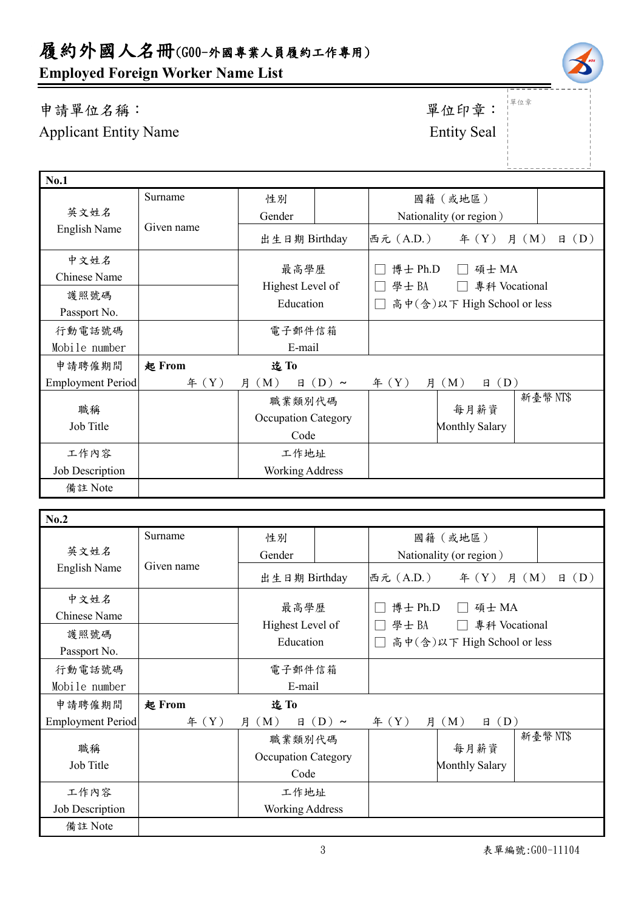## 履約外國人名冊(G00-外國專業人員履約工作專用)

**Employed Foreign Worker Name List**

### 申請單位名稱: 單位印章:

└<br>──

Applicant Entity Name

| 严位印早        |  |
|-------------|--|
| Entity Seal |  |

單位章

| No.1                     |            |                            |                   |           |                             |                         |
|--------------------------|------------|----------------------------|-------------------|-----------|-----------------------------|-------------------------|
|                          | Surname    | 性別                         |                   |           | 國籍(或地區)                     |                         |
| 英文姓名                     |            | Gender                     |                   |           | Nationality (or region)     |                         |
| English Name             | Given name | 出生日期 Birthday              |                   | 西元 (A.D.) | $\text{4}$ $(Y)$            | 月 (M)<br>$\boxplus$ (D) |
| 中文姓名                     |            | 最高學歷                       |                   | 博士 Ph.D   | 碩士 MA                       |                         |
| Chinese Name             |            | Highest Level of           |                   | 學士BA      | 專科 Vocational               |                         |
| 護照號碼                     |            | Education                  |                   |           | 高中(含)以下 High School or less |                         |
| Passport No.             |            |                            |                   |           |                             |                         |
| 行動電話號碼                   |            | 電子郵件信箱                     |                   |           |                             |                         |
| Mobile number            |            | E-mail                     |                   |           |                             |                         |
| 申請聘僱期間                   | 起 From     | 迄To                        |                   |           |                             |                         |
| <b>Employment Period</b> | # (Y)      | 月 (M)                      | $\boxminus$ (D) ~ | f(X)      | $\boxplus$ (D)<br>月 (M)     |                         |
|                          |            | 職業類別代碼                     |                   |           |                             | 新臺幣 NT\$                |
| 職稱                       |            | <b>Occupation Category</b> |                   |           | 每月薪資                        |                         |
| Job Title                |            | Code                       |                   |           | <b>Monthly Salary</b>       |                         |
| 工作內容                     |            | 工作地址                       |                   |           |                             |                         |
| Job Description          |            | <b>Working Address</b>     |                   |           |                             |                         |
| 備註 Note                  |            |                            |                   |           |                             |                         |

| No.2                     |            |                                       |                  |                             |                         |                |
|--------------------------|------------|---------------------------------------|------------------|-----------------------------|-------------------------|----------------|
|                          | Surname    | 性別                                    |                  |                             | 國籍(或地區)                 |                |
| 英文姓名                     |            | Gender                                |                  |                             | Nationality (or region) |                |
| English Name             | Given name | 出生日期 Birthday                         |                  | 西元 (A.D.)                   | 年 $(Y)$ 月 $(M)$         | $\boxplus$ (D) |
| 中文姓名                     |            |                                       |                  |                             |                         |                |
| Chinese Name             |            | 最高學歷<br>Highest Level of<br>Education |                  | 博士 Ph.D                     | 碩士 MA                   |                |
| 護照號碼                     |            |                                       |                  | 學士 BA                       | 專科 Vocational           |                |
| Passport No.             |            |                                       |                  | 高中(含)以下 High School or less |                         |                |
| 行動電話號碼                   |            | 電子郵件信箱                                |                  |                             |                         |                |
| Mobile number            |            | E-mail                                |                  |                             |                         |                |
| 申請聘僱期間                   | 起 From     | 迄To                                   |                  |                             |                         |                |
| <b>Employment Period</b> | f(X)       | 月 (M)                                 | $\boxplus$ (D) ~ | $\text{4}(Y)$               | $\boxplus$ (D)<br>月 (M) |                |
|                          |            | 職業類別代碼                                |                  |                             |                         | 新臺幣 NT\$       |
| 職稱                       |            | <b>Occupation Category</b>            |                  |                             | 每月薪資<br>Monthly Salary  |                |
| Job Title                |            | Code                                  |                  |                             |                         |                |
| 工作內容                     |            | 工作地址                                  |                  |                             |                         |                |
| Job Description          |            | <b>Working Address</b>                |                  |                             |                         |                |
| 備註 Note                  |            |                                       |                  |                             |                         |                |

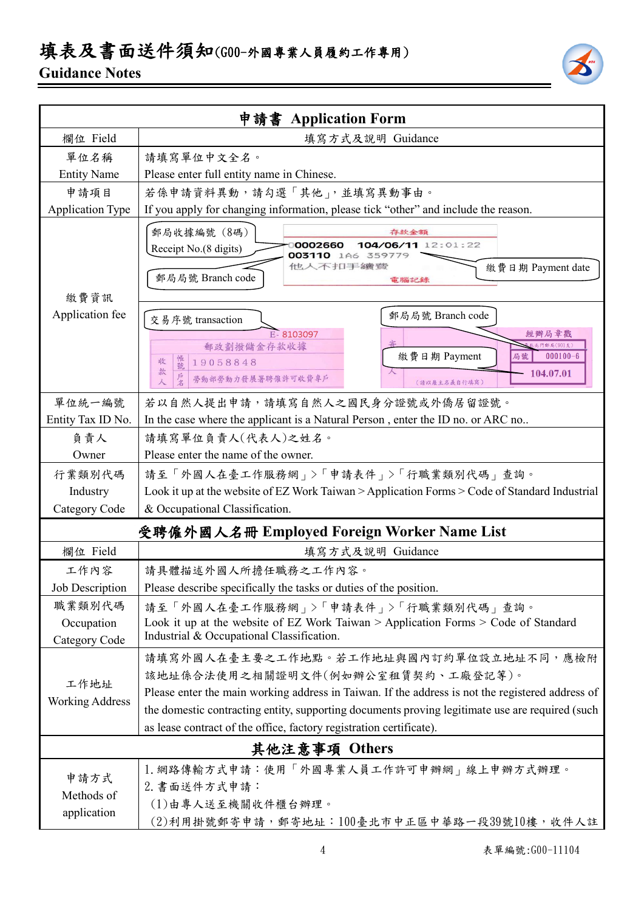# 填表及書面送件須知(G00-外國專業人員履約工作專用)

#### **Guidance Notes**



|                                       | 申請書 Application Form                                                                                                                                                                                                                                                                                                                                      |  |  |  |
|---------------------------------------|-----------------------------------------------------------------------------------------------------------------------------------------------------------------------------------------------------------------------------------------------------------------------------------------------------------------------------------------------------------|--|--|--|
| 欄位 Field                              | 填寫方式及說明 Guidance                                                                                                                                                                                                                                                                                                                                          |  |  |  |
| 單位名稱                                  | 請填寫單位中文全名。                                                                                                                                                                                                                                                                                                                                                |  |  |  |
| <b>Entity Name</b>                    | Please enter full entity name in Chinese.                                                                                                                                                                                                                                                                                                                 |  |  |  |
| 申請項目                                  | 若係申請資料異動,請勾選「其他」,並填寫異動事由。                                                                                                                                                                                                                                                                                                                                 |  |  |  |
| <b>Application Type</b>               | If you apply for changing information, please tick "other" and include the reason.                                                                                                                                                                                                                                                                        |  |  |  |
| 繳費資訊                                  | 郵局收據編號 (8碼)<br>存款金額<br>104/06/11 12:01:22<br>0002660<br>Receipt No.(8 digits)<br>003110 1A6<br>359779<br>他人不扣手續變<br>繳費日期 Payment date<br>郵局局號 Branch code<br>電腦記錄                                                                                                                                                                                         |  |  |  |
| Application fee                       | 郵局局號 Branch code<br>交易序號 transaction                                                                                                                                                                                                                                                                                                                      |  |  |  |
|                                       | E-8103097<br>经辨局章戳                                                                                                                                                                                                                                                                                                                                        |  |  |  |
|                                       | 郵政劃撥儲金存款收據<br>門郵局(901支)<br>繳費日期 Payment<br>$000100 - 6$<br>局號<br>帳號<br>收<br>19058848                                                                                                                                                                                                                                                                      |  |  |  |
|                                       | 款<br>104.07.01<br>勞動部勞動力發展署聘僱許可收費專戶<br>(請以雇主名義自行填寫)                                                                                                                                                                                                                                                                                                       |  |  |  |
| 單位統一編號                                | 若以自然人提出申請,請填寫自然人之國民身分證號或外僑居留證號。                                                                                                                                                                                                                                                                                                                           |  |  |  |
| Entity Tax ID No.                     | In the case where the applicant is a Natural Person, enter the ID no. or ARC no                                                                                                                                                                                                                                                                           |  |  |  |
| 負責人                                   | 請填寫單位負責人(代表人)之姓名。                                                                                                                                                                                                                                                                                                                                         |  |  |  |
| Owner                                 | Please enter the name of the owner.                                                                                                                                                                                                                                                                                                                       |  |  |  |
| 行業類別代碼                                | 請至「外國人在臺工作服務網」>「申請表件」>「行職業類別代碼」查詢。                                                                                                                                                                                                                                                                                                                        |  |  |  |
| Industry                              | Look it up at the website of EZ Work Taiwan > Application Forms > Code of Standard Industrial                                                                                                                                                                                                                                                             |  |  |  |
| Category Code                         | & Occupational Classification.                                                                                                                                                                                                                                                                                                                            |  |  |  |
|                                       | 受聘僱外國人名冊 Employed Foreign Worker Name List                                                                                                                                                                                                                                                                                                                |  |  |  |
| 欄位 Field                              | 填寫方式及說明 Guidance                                                                                                                                                                                                                                                                                                                                          |  |  |  |
| 工作內容                                  | 請具體描述外國人所擔任職務之工作內容。                                                                                                                                                                                                                                                                                                                                       |  |  |  |
| <b>Job Description</b>                | Please describe specifically the tasks or duties of the position.                                                                                                                                                                                                                                                                                         |  |  |  |
| 職業類別代碼<br>Occupation<br>Category Code | 請至「外國人在臺工作服務網」>「申請表件」>「行職業類別代碼」查詢。<br>Look it up at the website of EZ Work Taiwan > Application Forms > Code of Standard<br>Industrial & Occupational Classification.                                                                                                                                                                                     |  |  |  |
| 工作地址<br><b>Working Address</b>        | 請填寫外國人在臺主要之工作地點。若工作地址與國內訂約單位設立地址不同,應檢附<br>該地址係合法使用之相關證明文件(例如辦公室租賃契約、工廠登記等)。<br>Please enter the main working address in Taiwan. If the address is not the registered address of<br>the domestic contracting entity, supporting documents proving legitimate use are required (such<br>as lease contract of the office, factory registration certificate). |  |  |  |
|                                       | 其他注意事項 Others                                                                                                                                                                                                                                                                                                                                             |  |  |  |
| 申請方式<br>Methods of<br>application     | 1. 網路傳輸方式申請:使用「外國專業人員工作許可申辦網」線上申辦方式辦理。<br>2. 書面送件方式申請:<br>(1)由專人送至機關收件櫃台辦理。<br>(2)利用掛號郵寄申請,郵寄地址:100臺北市中正區中華路一段39號10樓,收件人註                                                                                                                                                                                                                                 |  |  |  |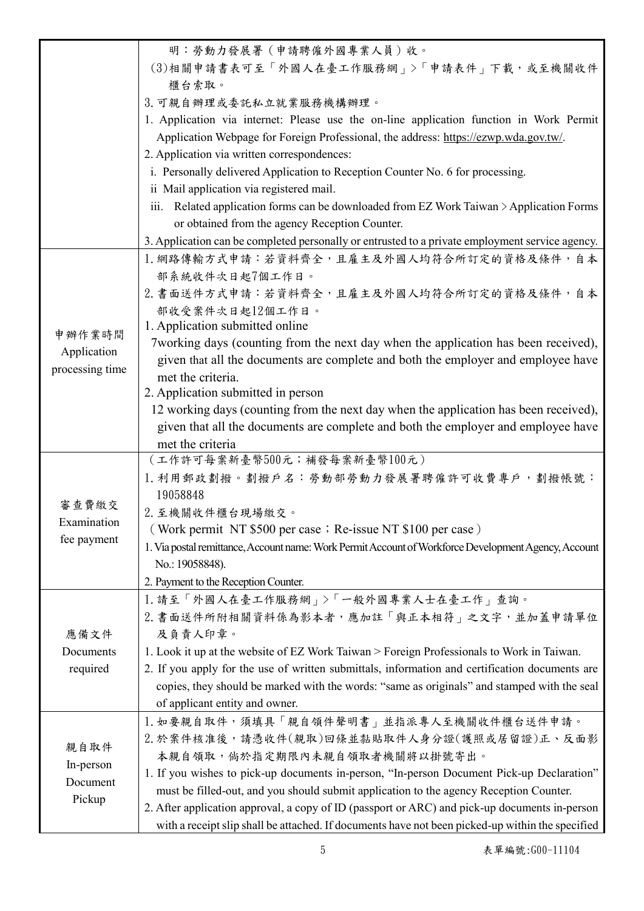|                   | 明:勞動力發展署(申請聘僱外國專業人員)收。                                                                                                                                                                        |
|-------------------|-----------------------------------------------------------------------------------------------------------------------------------------------------------------------------------------------|
|                   | (3)相關申請書表可至「外國人在臺工作服務網」>「申請表件」下載,或至機關收件                                                                                                                                                       |
|                   | 櫃台索取。                                                                                                                                                                                         |
|                   | 3. 可親自辦理或委託私立就業服務機構辦理。                                                                                                                                                                        |
|                   | 1. Application via internet: Please use the on-line application function in Work Permit                                                                                                       |
|                   | Application Webpage for Foreign Professional, the address: https://ezwp.wda.gov.tw/.                                                                                                          |
|                   | 2. Application via written correspondences:                                                                                                                                                   |
|                   | i. Personally delivered Application to Reception Counter No. 6 for processing.                                                                                                                |
|                   | ii Mail application via registered mail.                                                                                                                                                      |
|                   | iii. Related application forms can be downloaded from EZ Work Taiwan $\geq$ Application Forms                                                                                                 |
|                   | or obtained from the agency Reception Counter.                                                                                                                                                |
|                   | 3. Application can be completed personally or entrusted to a private employment service agency.                                                                                               |
|                   | 1. 網路傳輸方式申請:若資料齊全,且雇主及外國人均符合所訂定的資格及條件,自本                                                                                                                                                      |
|                   | 部系統收件次日起7個工作日。                                                                                                                                                                                |
|                   | 2. 書面送件方式申請:若資料齊全,且雇主及外國人均符合所訂定的資格及條件,自本                                                                                                                                                      |
|                   | 部收受案件次日起12個工作日。<br>1. Application submitted online                                                                                                                                            |
| 申辦作業時間            | 7 working days (counting from the next day when the application has been received),                                                                                                           |
| Application       | given that all the documents are complete and both the employer and employee have                                                                                                             |
| processing time   | met the criteria.                                                                                                                                                                             |
|                   | 2. Application submitted in person                                                                                                                                                            |
|                   | 12 working days (counting from the next day when the application has been received),                                                                                                          |
|                   | given that all the documents are complete and both the employer and employee have                                                                                                             |
|                   | met the criteria                                                                                                                                                                              |
|                   | (工作許可每案新臺幣500元;補發每案新臺幣100元)                                                                                                                                                                   |
|                   | 1. 利用郵政劃撥。劃撥戶名: 勞動部勞動力發展署聘僱許可收費專戶, 劃撥帳號:                                                                                                                                                      |
| 審查費繳交             | 19058848                                                                                                                                                                                      |
| Examination       | 2. 至機關收件櫃台現場繳交。                                                                                                                                                                               |
| fee payment       | (Work permit NT \$500 per case; Re-issue NT \$100 per case)                                                                                                                                   |
|                   | 1. Via postal remittance, Account name: Work Permit Account of Workforce Development Agency, Account                                                                                          |
|                   | No.: 19058848).                                                                                                                                                                               |
|                   | 2. Payment to the Reception Counter.                                                                                                                                                          |
|                   | 1. 請至「外國人在臺工作服務網」>「一般外國專業人士在臺工作」查詢。                                                                                                                                                           |
|                   | 2. 書面送件所附相關資料係為影本者,應加註「與正本相符」之文字,並加蓋申請單位                                                                                                                                                      |
| 應備文件<br>Documents | 及負責人印章。                                                                                                                                                                                       |
|                   | 1. Look it up at the website of EZ Work Taiwan > Foreign Professionals to Work in Taiwan.                                                                                                     |
| required          | 2. If you apply for the use of written submittals, information and certification documents are<br>copies, they should be marked with the words: "same as originals" and stamped with the seal |
|                   | of applicant entity and owner.                                                                                                                                                                |
|                   | 1. 如要親自取件,須填具「親自領件聲明書」並指派專人至機關收件櫃台送件申請。                                                                                                                                                       |
|                   | 2. 於案件核准後,請憑收件(親取)回條並黏貼取件人身分證(護照或居留證)正、反面影                                                                                                                                                    |
| 親自取件              | 本親自領取,倘於指定期限內未親自領取者機關將以掛號寄出。                                                                                                                                                                  |
| In-person         | 1. If you wishes to pick-up documents in-person, "In-person Document Pick-up Declaration"                                                                                                     |
| Document          | must be filled-out, and you should submit application to the agency Reception Counter.                                                                                                        |
| Pickup            | 2. After application approval, a copy of ID (passport or ARC) and pick-up documents in-person                                                                                                 |
|                   | with a receipt slip shall be attached. If documents have not been picked-up within the specified                                                                                              |